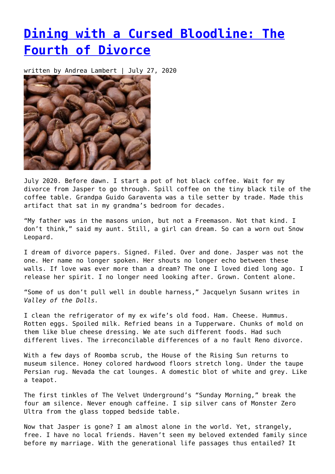## **[Dining with a Cursed Bloodline: The](https://entropymag.org/dining-with-a-cursed-bloodline-the-fourth-of-divorce/) [Fourth of Divorce](https://entropymag.org/dining-with-a-cursed-bloodline-the-fourth-of-divorce/)**

written by Andrea Lambert | July 27, 2020



July 2020. Before dawn. I start a pot of hot black coffee. Wait for my divorce from Jasper to go through. Spill coffee on the tiny black tile of the coffee table. Grandpa Guido Garaventa was a tile setter by trade. Made this artifact that sat in my grandma's bedroom for decades.

"My father was in the masons union, but not a Freemason. Not that kind. I don't think," said my aunt. Still, a girl can dream. So can a worn out Snow Leopard.

I dream of divorce papers. Signed. Filed. Over and done. Jasper was not the one. Her name no longer spoken. Her shouts no longer echo between these walls. If love was ever more than a dream? The one I loved died long ago. I release her spirit. I no longer need looking after. Grown. Content alone.

"Some of us don't pull well in double harness," Jacquelyn Susann writes in *Valley of the Dolls.*

I clean the refrigerator of my ex wife's old food. Ham. Cheese. Hummus. Rotten eggs. Spoiled milk. Refried beans in a Tupperware. Chunks of mold on them like blue cheese dressing. We ate such different foods. Had such different lives. The irreconcilable differences of a no fault Reno divorce.

With a few days of Roomba scrub, the House of the Rising Sun returns to museum silence. Honey colored hardwood floors stretch long. Under the taupe Persian rug. Nevada the cat lounges. A domestic blot of white and grey. Like a teapot.

The first tinkles of The Velvet Underground's "Sunday Morning," break the four am silence. Never enough caffeine. I sip silver cans of Monster Zero Ultra from the glass topped bedside table.

Now that Jasper is gone? I am almost alone in the world. Yet, strangely, free. I have no local friends. Haven't seen my beloved extended family since before my marriage. With the generational life passages thus entailed? It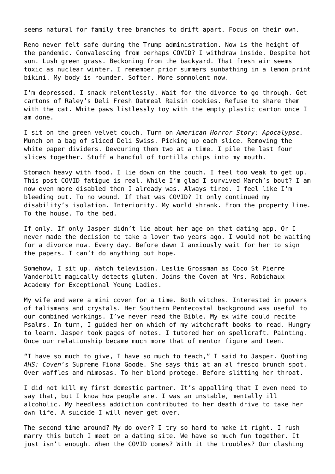seems natural for family tree branches to drift apart. Focus on their own.

Reno never felt safe during the Trump administration. Now is the height of the pandemic. Convalescing from perhaps COVID? I withdraw inside. Despite hot sun. Lush green grass. Beckoning from the backyard. That fresh air seems toxic as nuclear winter. I remember prior summers sunbathing in a lemon print bikini. My body is rounder. Softer. More somnolent now.

I'm depressed. I snack relentlessly. Wait for the divorce to go through. Get cartons of Raley's Deli Fresh Oatmeal Raisin cookies. Refuse to share them with the cat. White paws listlessly toy with the empty plastic carton once I am done.

I sit on the green velvet couch. Turn on *American Horror Story: Apocalypse.* Munch on a bag of sliced Deli Swiss. Picking up each slice. Removing the white paper dividers. Devouring them two at a time. I pile the last four slices together. Stuff a handful of tortilla chips into my mouth.

Stomach heavy with food. I lie down on the couch. I feel too weak to get up. This post COVID fatigue is real. While I'm glad I survived March's bout? I am now even more disabled then I already was. Always tired. I feel like I'm bleeding out. To no wound. If that was COVID? It only continued my disability's isolation. Interiority. My world shrank. From the property line. To the house. To the bed.

If only. If only Jasper didn't lie about her age on that dating app. Or I never made the decision to take a lover two years ago. I would not be waiting for a divorce now. Every day. Before dawn I anxiously wait for her to sign the papers. I can't do anything but hope.

Somehow, I sit up. Watch television. Leslie Grossman as Coco St Pierre Vanderbilt magically detects gluten. Joins the Coven at Mrs. Robichaux Academy for Exceptional Young Ladies.

My wife and were a mini coven for a time. Both witches. Interested in powers of talismans and crystals. Her Southern Pentecostal background was useful to our combined workings. I've never read the Bible. My ex wife could recite Psalms. In turn, I guided her on which of my witchcraft books to read. Hungry to learn. Jasper took pages of notes. I tutored her on spellcraft. Painting. Once our relationship became much more that of mentor figure and teen.

"I have so much to give, I have so much to teach," I said to Jasper. Quoting *AHS: Coven*'s Supreme Fiona Goode. She says this at an al fresco brunch spot. Over waffles and mimosas. To her blond protege. Before slitting her throat.

I did not kill my first domestic partner. It's appalling that I even need to say that, but I know how people are. I was an unstable, mentally ill alcoholic. My heedless addiction contributed to her death drive to take her own life. A suicide I will never get over.

The second time around? My do over? I try so hard to make it right. I rush marry this butch I meet on a dating site. We have so much fun together. It just isn't enough. When the COVID comes? With it the troubles? Our clashing